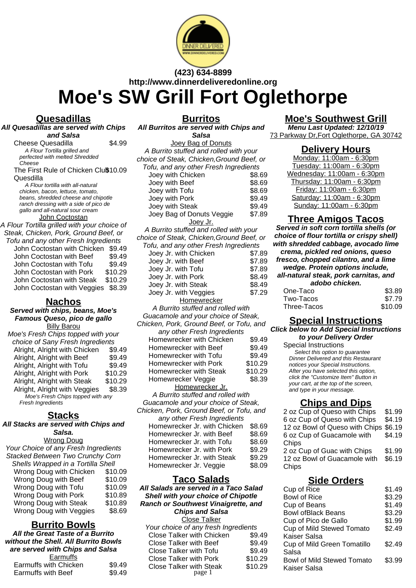

# **(423) 634-8899 http://www.dinnerdeliveredonline.org Moe's SW Grill Fort Oglethorpe**

# **Quesadillas**

**All Quesadillas are served with Chips and Salsa**

Cheese Quesadilla \$4.99 A Flour Tortilla grilled and perfected with melted Shredded .<br>Cheese The First Rule of Chicken Clu\$10.09 Quesdilla A Flour tortilla with all-natural chicken, bacon, lettuce, tomato, beans, shredded cheese and chipotle ranch dressing with a side of pico de gallo and all-natural sour cream **John Coctostan** A Flour Tortilla grilled with your choice of Steak, Chicken, Pork, Ground Beef, or Tofu and any other Fresh Ingredients

John Coctostan with Chicken \$9.49 John Coctostan with Beef \$9.49 John Coctostan with Tofu \$9.49 John Coctostan with Pork \$10.29 John Coctostan with Steak \$10.29 John Coctostan with Veggies \$8.39

# **Nachos**

**Served with chips, beans, Moe's Famous Queso, pico de gallo Billy Barou** Moe's Fresh Chips topped with your choice of Sany Fresh Ingredients Alright, Alright with Chicken \$9.49 Alright, Alright with Beef \$9.49 Alright, Alright with Tofu \$9.49 Alright, Alright with Pork \$10.29 Alright, Alright with Steak \$10.29 Alright, Alright with Veggies \$8.39 Moe's Fresh Chips topped with any Fresh Ingredients

#### **Stacks**

**All Stacks are served with Chips and Salsa.**

#### Wrong Doug

| Your Choice of any Fresh Ingredients |         |
|--------------------------------------|---------|
| Stacked Between Two Crunchy Corn     |         |
| Shells Wrapped in a Tortilla Shell   |         |
| Wrong Doug with Chicken              | \$10.09 |
| Wrong Doug with Beef                 | \$10.09 |
| Wrong Doug with Tofu                 | \$10.09 |
| Wrong Doug with Pork                 | \$10.89 |
| Wrong Doug with Steak                | \$10.89 |
| Wrong Doug with Veggies              | \$8.69  |

# **Burrito Bowls**

**All the Great Taste of a Burrito without the Shell. All Burrito Bowls are served with Chips and Salsa** Earmuffs

| Lalliullo             |        |
|-----------------------|--------|
| Earmuffs with Chicken | \$9.49 |
| Earmuffs with Beef    | \$9.49 |
|                       |        |

**Burritos**

**All Burritos are served with Chips and Salsa**

Joey Bag of Donuts A Burrito stuffed and rolled with your choice of Steak, Chicken,Ground Beef, or Tofu, and any other Fresh Ingredients Joev with Chicken \$8.69 Joey with Beef<br>Joey with Tofu 38.69 Joey with Tofu \$8.69<br>Joey with Pork \$9.49 Joev with Pork Joey with Steak \$9.49 Joey Bag of Donuts Veggie \$7.89 Joey Jr. A Burrito stuffed and rolled with your choice of Steak, Chicken,Ground Beef, or Tofu, and any other Fresh Ingredients Joey Jr. with Chicken \$7.89 Joey Jr. with Beef \$7.89 Joey Jr. with Tofu **\$7.89** Joey Jr. with Pork \$8.49 Joey Jr. with Steak  $$8.49$ Joey Jr. with Veggies \$7.29 **Homewrecker** A Burrito stuffed and rolled with Guacamole and your choice of Steak, Chicken, Pork, Ground Beef, or Tofu, and any other Fresh Ingredients Homewrecker with Chicken \$9.49 Homewrecker with Beef \$9.49 Homewrecker with Tofu \$9.49 Homewrecker with Pork \$10.29 Homewrecker with Steak \$10.29 Homewrecker Veggie  $$8.39$ Homewrecker Jr. A Burrito stuffed and rolled with Guacamole and your choice of Steak, Chicken, Pork, Ground Beef, or Tofu, and any other Fresh Ingredients Homewrecker Jr. with Chicken \$8.69 Homewrecker Jr. with Beef \$8.69 Homewrecker Jr. with Tofu \$8.69 Homewrecker Jr. with Pork \$9.29 Homewrecker Jr. with Steak \$9.29 Homewrecker Jr. Veggie \$8.09

#### **Taco Salads**

**All Salads are served in a Taco Salad Shell with your choice of Chipotle Ranch or Southwest Vinaigrette, and Chips and Salsa** Close Talker Your choice of any fresh Ingredients Close Talker with Chicken \$9.49 Close Talker with Beef \$9.49 Close Talker with Tofu **\$9.49** Close Talker with Pork \$10.29 Close Talker with Steak \$10.29 page 1

# **Moe's Southwest Grill**

**Menu Last Updated: 12/10/19** 73 Parkway Dr,Fort Oglethorpe, GA 30742

## **Delivery Hours**

Monday: 11:00am - 6:30pm Tuesday: 11:00am - 6:30pm Wednesday: 11:00am - 6:30pm Thursday: 11:00am - 6:30pm Friday: 11:00am - 6:30pm Saturday: 11:00am - 6:30pm Sunday: 11:00am - 6:30pm

# **Three Amigos Tacos**

**Served in soft corn tortilla shells (or choice of flour tortilla or crispy shell) with shredded cabbage, avocado lime crema, pickled red onions, queso fresco, chopped cilantro, and a lime wedge. Protein options include, all-natural steak, pork carnitas, and adobo chicken.** One-Taco \$3.89 Two-Tacos \$7.79 Three-Tacos \$10.09

# **Special Instructions**

#### **Click below to Add Special Instructions to your Delivery Order**

Special Instructions Select this option to guarantee Dinner Delivered and this Restaurant notices your Special Instructions. After you have selected this option, click the "Customize Item" Button in your cart, at the top of the screen, and type in your message.

# **Chips and Dips**

| 2 oz Cup of Queso with Chips          | \$1.99 |
|---------------------------------------|--------|
| 6 oz Cup of Queso with Chips          | \$4.19 |
| 12 oz Bowl of Queso with Chips \$6.19 |        |
| 6 oz Cup of Guacamole with            | \$4.19 |
| Chips                                 |        |
| 2 oz Cup of Guac with Chips           | \$1.99 |
| 12 oz Bowl of Guacamole with          | \$6.19 |
| Chips                                 |        |
|                                       |        |

# **Side Orders**

| Cup of Rice                       | \$1.49 |
|-----------------------------------|--------|
| <b>Bowl of Rice</b>               | \$3.29 |
| Cup of Beans                      | \$1.49 |
| <b>Bowl ofBlack Beans</b>         | \$3.29 |
| Cup of Pico de Gallo              | \$1.99 |
| Cup of Mild Stewed Tomato         | \$2.49 |
| Kaiser Salsa                      |        |
| Cup of Mild Green Tomatillo       | \$2.49 |
| Salsa                             |        |
| <b>Bowl of Mild Stewed Tomato</b> | \$3.99 |
| Kaiser Salsa                      |        |